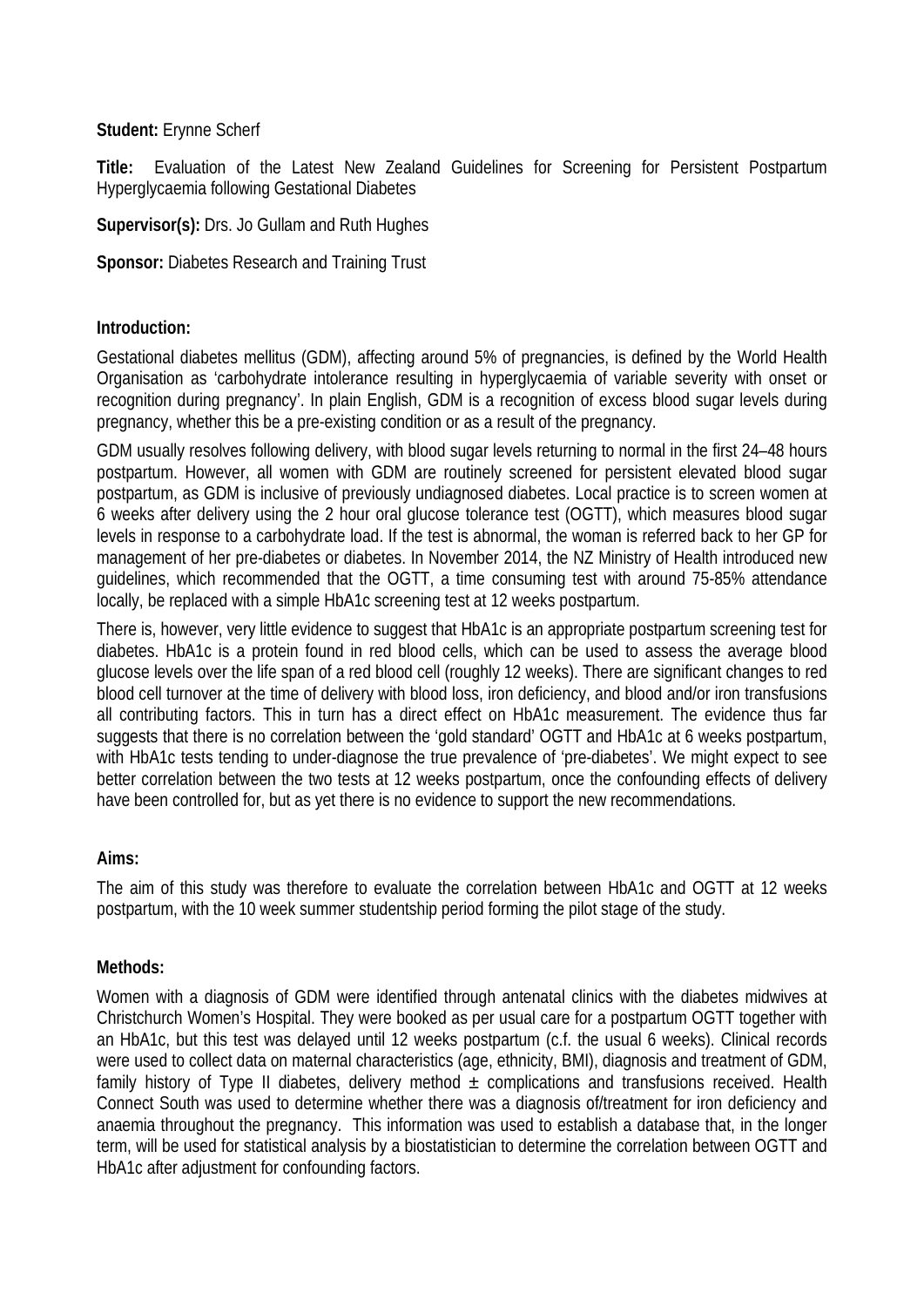#### **Student:** Erynne Scherf

**Title:** Evaluation of the Latest New Zealand Guidelines for Screening for Persistent Postpartum Hyperglycaemia following Gestational Diabetes

**Supervisor(s):** Drs. Jo Gullam and Ruth Hughes

**Sponsor:** Diabetes Research and Training Trust

#### **Introduction:**

Gestational diabetes mellitus (GDM), affecting around 5% of pregnancies, is defined by the World Health Organisation as 'carbohydrate intolerance resulting in hyperglycaemia of variable severity with onset or recognition during pregnancy'. In plain English, GDM is a recognition of excess blood sugar levels during pregnancy, whether this be a pre-existing condition or as a result of the pregnancy.

GDM usually resolves following delivery, with blood sugar levels returning to normal in the first 24–48 hours postpartum. However, all women with GDM are routinely screened for persistent elevated blood sugar postpartum, as GDM is inclusive of previously undiagnosed diabetes. Local practice is to screen women at 6 weeks after delivery using the 2 hour oral glucose tolerance test (OGTT), which measures blood sugar levels in response to a carbohydrate load. If the test is abnormal, the woman is referred back to her GP for management of her pre-diabetes or diabetes. In November 2014, the NZ Ministry of Health introduced new guidelines, which recommended that the OGTT, a time consuming test with around 75-85% attendance locally, be replaced with a simple HbA1c screening test at 12 weeks postpartum.

There is, however, very little evidence to suggest that HbA1c is an appropriate postpartum screening test for diabetes. HbA1c is a protein found in red blood cells, which can be used to assess the average blood glucose levels over the life span of a red blood cell (roughly 12 weeks). There are significant changes to red blood cell turnover at the time of delivery with blood loss, iron deficiency, and blood and/or iron transfusions all contributing factors. This in turn has a direct effect on HbA1c measurement. The evidence thus far suggests that there is no correlation between the 'gold standard' OGTT and HbA1c at 6 weeks postpartum, with HbA1c tests tending to under-diagnose the true prevalence of 'pre-diabetes'. We might expect to see better correlation between the two tests at 12 weeks postpartum, once the confounding effects of delivery have been controlled for, but as yet there is no evidence to support the new recommendations.

# **Aims:**

The aim of this study was therefore to evaluate the correlation between HbA1c and OGTT at 12 weeks postpartum, with the 10 week summer studentship period forming the pilot stage of the study.

# **Methods:**

Women with a diagnosis of GDM were identified through antenatal clinics with the diabetes midwives at Christchurch Women's Hospital. They were booked as per usual care for a postpartum OGTT together with an HbA1c, but this test was delayed until 12 weeks postpartum (c.f. the usual 6 weeks). Clinical records were used to collect data on maternal characteristics (age, ethnicity, BMI), diagnosis and treatment of GDM, family history of Type II diabetes, delivery method  $\pm$  complications and transfusions received. Health Connect South was used to determine whether there was a diagnosis of/treatment for iron deficiency and anaemia throughout the pregnancy. This information was used to establish a database that, in the longer term, will be used for statistical analysis by a biostatistician to determine the correlation between OGTT and HbA1c after adjustment for confounding factors.